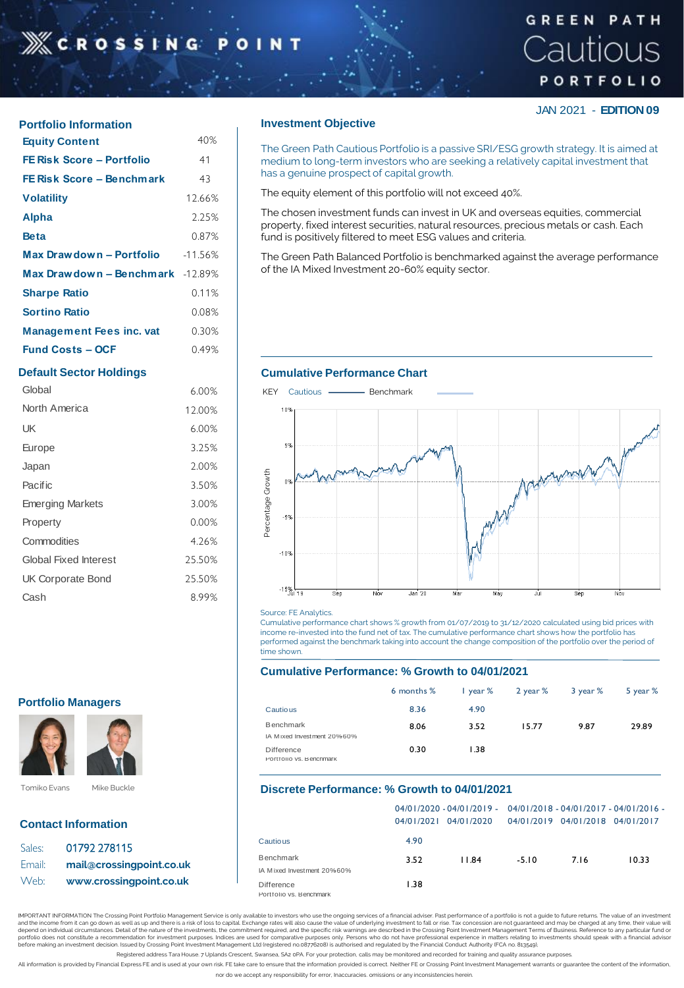# **XCROSSING**

# **GREEN PATH** Cautious PORTFOLIO

JAN 2021 - **EDITION 09**

| <b>Equity Content</b>            | 40%    |
|----------------------------------|--------|
| FE Risk Score - Portfolio        | 41     |
| FE Risk Score - Benchmark        | 43     |
| <b>Volatility</b>                | 12.66% |
| <b>Alpha</b>                     | 2.25%  |
| Beta                             | 0.87%  |
| Max Drawdown - Portfolio 41.56%  |        |
| Max Drawdown - Benchmark -12.89% |        |
| <b>Sharpe Ratio</b>              | 0.11%  |
| <b>Sortino Ratio</b>             | 0.08%  |
| <b>Management Fees inc. vat</b>  | 0.30%  |
| <b>Fund Costs – OCE</b>          | 0.49%  |

| Global                       | 6.00%  |
|------------------------------|--------|
| North America                | 12.00% |
| UK                           | 6.00%  |
| Europe                       | 3.25%  |
| Japan                        | 2.00%  |
| <b>Pacific</b>               | 3.50%  |
| <b>Emerging Markets</b>      | 3.00%  |
| Property                     | 0.00%  |
| Commodities                  | 4.26%  |
| <b>Global Fixed Interest</b> | 25.50% |
| <b>UK Corporate Bond</b>     | 25.50% |
| Cash                         | 8.99%  |

### **Portfolio Managers**



## **Contact Information**

| Sales: | 01792 278115             |
|--------|--------------------------|
| Email: | mail@crossingpoint.co.uk |
| Web:   | www.crossingpoint.co.uk  |

## **Portfolio Information intervalse investment Objective**

The Green Path Cautious Portfolio is a passive SRI/ESG growth strategy. It is aimed at medium to long-term investors who are seeking a relatively capital investment that has a genuine prospect of capital growth.

The equity element of this portfolio will not exceed 40%.

The chosen investment funds can invest in UK and overseas equities, commercial property, fixed interest securities, natural resources, precious metals or cash. Each fund is positively filtered to meet ESG values and criteria.

The Green Path Balanced Portfolio is benchmarked against the average performance of the IA Mixed Investment 20-60% equity sector.

## **Default Sector Holdings Cumulative Performance Chart**



#### Source: FE Analytics.

Cumulative performance chart shows % growth from 01/07/2019 to 31/12/2020 calculated using bid prices with income re-invested into the fund net of tax. The cumulative performance chart shows how the portfolio has performed against the benchmark taking into account the change composition of the portfolio over the period of time shown.

#### **Cumulative Performance: % Growth to 04/01/2021**

|                                         | 6 months % | $\frac{1}{2}$ year % | 2 year % | 3 year % | 5 year % |
|-----------------------------------------|------------|----------------------|----------|----------|----------|
| Cautious                                | 8.36       | 4.90                 |          |          |          |
| Benchmark<br>IA Mixed Investment 20%60% | 8.06       | 3.52                 | 15.77    | 9.87     | 29.89    |
| Difference<br>Portfolio vs. Benchmark   | 0.30       | 1.38                 |          |          |          |

### **Discrete Performance: % Growth to 04/01/2021**

|                                                                     |      | $04/0$  /2020 - 04/0 /2019 - 04/0 /2018 - 04/0 /2017 - 04/0 /2016 -<br>04/01/2021 04/01/2020 | 04/01/2019 04/01/2018 04/01/2017 |     |       |
|---------------------------------------------------------------------|------|----------------------------------------------------------------------------------------------|----------------------------------|-----|-------|
| Cautious                                                            | 4.90 |                                                                                              |                                  |     |       |
| Benchmark                                                           | 3.52 | <b>II</b> 84                                                                                 | $-5.10$                          | 716 | 10.33 |
| IA Mixed Investment 20%60%<br>Difference<br>Portfolio vs. Benchmark | 1.38 |                                                                                              |                                  |     |       |

IMPORTANT INFORMATION The Crossing Point Portfolio Management Service is only available to investors who use the ongoing services of a financial adviser. Past performance of a portfolio is not a guide to future returns. Th and the income from it can go down as well as up and there is a risk of loss to capital. Exchange rates will also cause the value of underlying investment to fall or rise. Tax concession are not guaranteed and may be charg

Registered address Tara House. 7 Uplands Crescent, Swansea, SA2 oPA. For your protection, calls may be monitored and recorded for training and quality assurance purpo

All information is provided by Financial Express FE and is used at your own risk. FE take care to ensure that the information provided is correct. Neither FE or Crossing Point Investment Management warrants or guarantee th nor do we accept any responsibility for error, Inaccuracies. omissions or any inconsistencies herein.